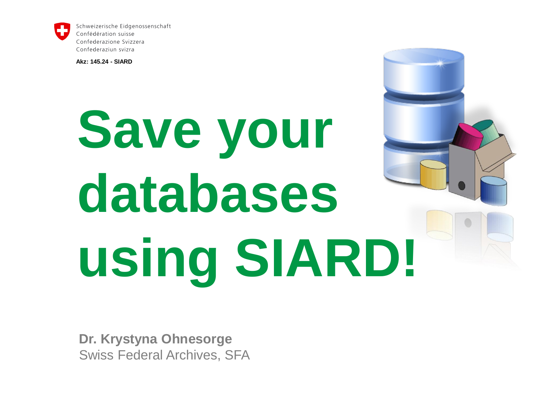

Schweizerische Eidgenossenschaft Confédération suisse Confederazione Svizzera Confederaziun svizra

**Akz: 145.24 - SIARD**

# **Save your databases using SIARD!**

**Dr. Krystyna Ohnesorge** Swiss Federal Archives, SFA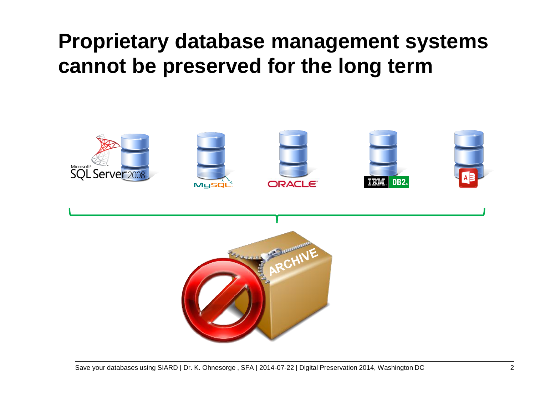#### **Proprietary database management systems cannot be preserved for the long term**



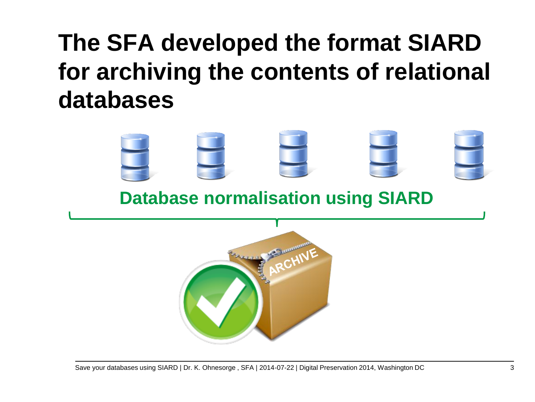### **The SFA developed the format SIARD for archiving the contents of relational databases**



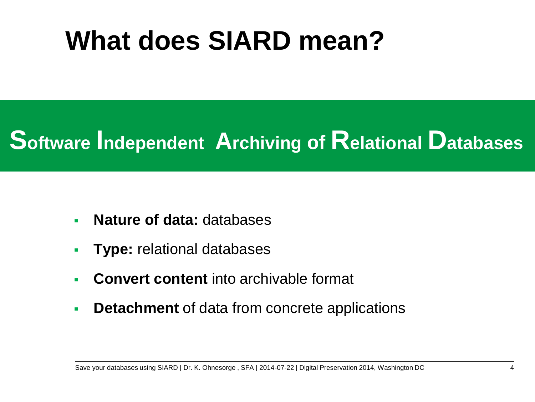## **What does SIARD mean?**

#### **Software Independent Archiving of Relational Databases**

- **Nature of data:** databases
- **Type:** relational databases
- **Convert content** into archivable format
- **Detachment** of data from concrete applications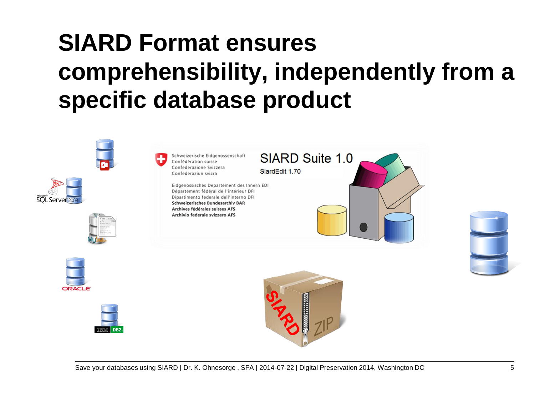## **SIARD Format ensures comprehensibility, independently from a specific database product**